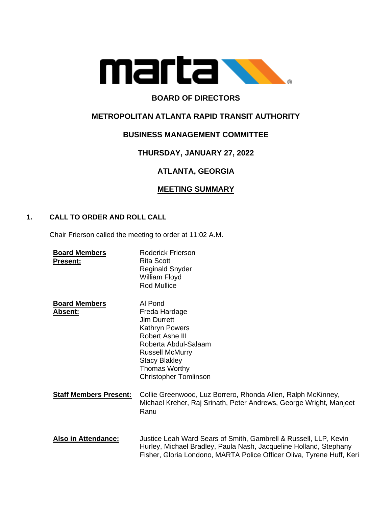

# **BOARD OF DIRECTORS**

## **METROPOLITAN ATLANTA RAPID TRANSIT AUTHORITY**

## **BUSINESS MANAGEMENT COMMITTEE**

## **THURSDAY, JANUARY 27, 2022**

# **ATLANTA, GEORGIA**

### **MEETING SUMMARY**

### **1. CALL TO ORDER AND ROLL CALL**

Chair Frierson called the meeting to order at 11:02 A.M.

| <b>Board Members</b><br><b>Present:</b> | <b>Roderick Frierson</b><br><b>Rita Scott</b><br><b>Reginald Snyder</b><br>William Floyd<br><b>Rod Mullice</b>                                                                                                 |
|-----------------------------------------|----------------------------------------------------------------------------------------------------------------------------------------------------------------------------------------------------------------|
| <b>Board Members</b><br><b>Absent:</b>  | Al Pond<br>Freda Hardage<br>Jim Durrett<br>Kathryn Powers<br>Robert Ashe III<br>Roberta Abdul-Salaam<br><b>Russell McMurry</b><br><b>Stacy Blakley</b><br><b>Thomas Worthy</b><br><b>Christopher Tomlinson</b> |
| <b>Staff Members Present:</b>           | Collie Greenwood, Luz Borrero, Rhonda Allen, Ralph McKinney,<br>Michael Kreher, Raj Srinath, Peter Andrews, George Wright, Manjeet<br>Ranu                                                                     |
| <b>Also in Attendance:</b>              | Justice Leah Ward Sears of Smith, Gambrell & Russell, LLP, Kevin<br>Hurley, Michael Bradley, Paula Nash, Jacqueline Holland, Stephany<br>Fisher, Gloria Londono, MARTA Police Officer Oliva, Tyrene Huff, Keri |